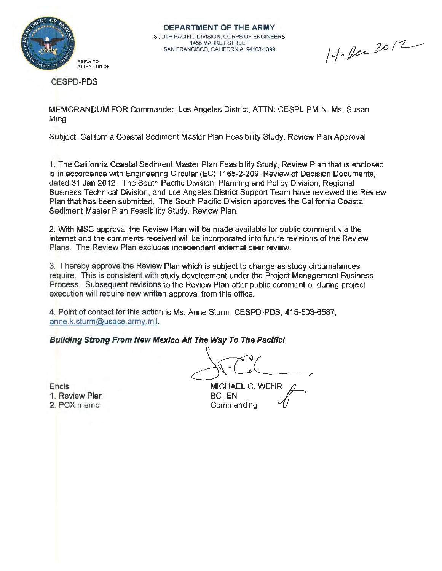

**DEPARTMENT OF THE ARMY**  SOUTH PACIFIC DIVISION, CORPS OF ENGINEERS 1455 MARKET STREET SAN FRANCISCO, CALIFORNIA 94103-1399

14. Dec 2012

CESPD-PDS

MEMORANDUM FOR Commander, Los Angeles District, ATTN: CESPL-PM-N. Ms. Susan Ming

Subject: California Coastal Sediment Master Plan Feasibility Study, Review Plan Approval

1. The California Coastal Sediment Master Plan Feasibility Study, Review Plan that is enclosed is in accordance with Engineering Circular (EC) 1165-2-209, Review of Decision Documents, dated 31 Jan 2012. The South Pacific Division, Planning and Policy Division, Regional Business Technical Division, and Los Angeles District Support Team have reviewed the Review Plan that has been submitted. The South Pacific Division approves the California Coastal Sediment Master Plan Feasibility Study, Review Plan.

2. With MSC approval the Review Plan will be made available for public comment via the internet and the comments received will be incorporated into future revisions of the Review Plans. The Review Plan excludes independent external peer review.

3. I hereby approve the Review Plan which is subject to change as study circumstances require. This is consistent with study development under the Project Management Business Process. Subsequent revisions to the Review Plan after public comment or during project execution will require new written approval from this office.

4. Point of contact for this action is Ms. Anne Sturm, CESPD-PDS, 415-503-6587, anne.k.sturm@usace.army.mil.

**Building Strong From New Mexico All The Way To The Pacific!** 

 $\overline{\phantom{a}}$  $MICHAEL C. WEHR  $\overline{A}$$ 

Encls 1. Review Plan 2. PCX memo

BG,EN **Commanding**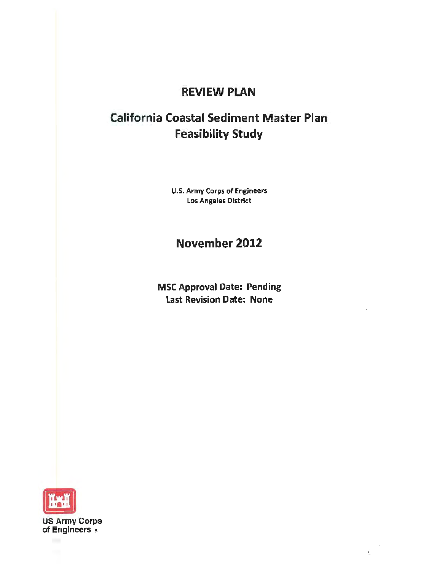## REVIEW PLAN

# California Coastal Sediment Master Plan Feasibility Study

U.S. Army Corps of Engineers Los Angeles District

## November 2012

MSC Approval Date: Pending Last Revision Date: None



US Army Corps of Engineers (B)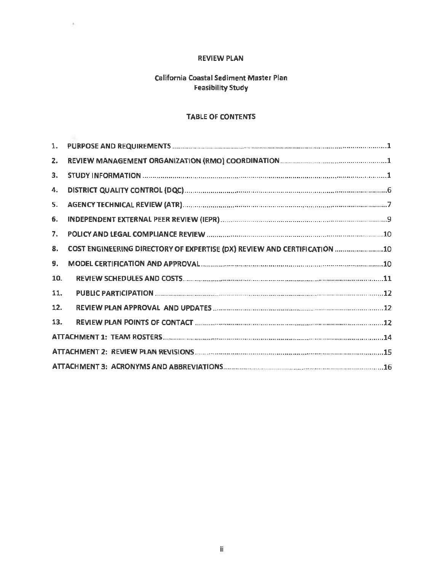## **REVIEW PLAN**

 $\sim$ 

## California Coastal Sediment Master Plan **Feasibility Study**

#### **TABLE OF CONTENTS**

| 1.  |                                                                          |  |
|-----|--------------------------------------------------------------------------|--|
| 2.  |                                                                          |  |
| З.  |                                                                          |  |
| 4.  |                                                                          |  |
| 5.  |                                                                          |  |
| 6.  |                                                                          |  |
| 7.  |                                                                          |  |
| 8.  | COST ENGINEERING DIRECTORY OF EXPERTISE (DX) REVIEW AND CERTIFICATION 10 |  |
| 9.  |                                                                          |  |
| 10. |                                                                          |  |
| 11. |                                                                          |  |
| 12. |                                                                          |  |
| 13. |                                                                          |  |
|     |                                                                          |  |
|     |                                                                          |  |
|     |                                                                          |  |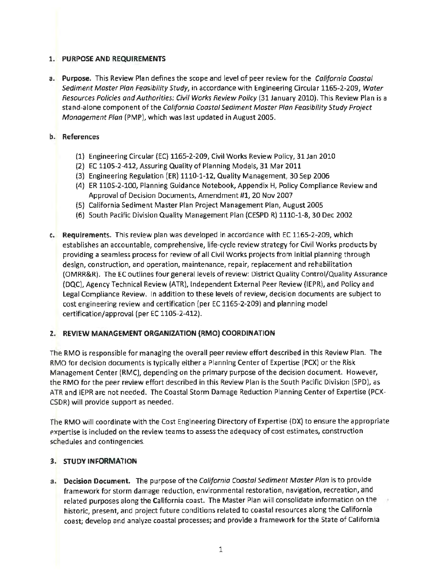## **1. PURPOSE AND REQUIREMENTS**

**a. Purpose.** This Review Plan defines the scope and level of peer review for the California Coastal Sediment Master Plan Feasibility Study, in accordance with Engineering Circular 1165-2-209, Water Resources Policies and Authorities: Civil Works Review Policy (31 January 2010). This Review Plan is a stand-alone component of the California Coastal Sediment Master Plan Feasibility Study Project Management Plan (PMP), which was last updated in August 2005.

#### **b. References**

- (1) Engineering Circular (EC) 1165-2-209, Civil Works Review Policy, 31 Jan 2010
- (2) EC 1105-2-412, Assuring Quality of Planning Models, 31 Mar 2011
- (3) Engineering Regulation (ER) 1110-1-12, Quality Management, 30 Sep 2006
- (4) ER 1105-2-100, Planning Guidance Notebook, Appendix H, Policy Compliance Review and Approval of Decision Documents, Amendment #1, 20 Nov 2007
- (5) California Sediment Master Plan Project Management Plan, August 2005
- (6) South Pacific Division Quality Management Plan (CESPD R) 1110-1-8, 30 Dec 2002
- **c. Requirements.** This review plan was developed in accordance with EC 1165-2-209, which establishes an accountable, comprehensive, life-cycle review strategy for Civil Works products by providing a seamless process for review of all Civil Works projects from initial planning through design, construction, and operation, maintenance, repair, replacement and rehabilitation (OMRR&R). The EC outlines four general levels of review: District Quality Control/Quality Assurance (DQC), Agency Technical Review (ATR), Independent External Peer Review (IEPR), and Policy and legal Compliance Review. In addition to these levels of review, decision documents are subject to cost engineering review and certification (per EC 1165-2-209) and planning model certification/approval (per EC 1105-2-412).

#### **2. REVIEW MANAGEMENT ORGANIZATION (RMO) COORDINATION**

The RMO is responsible for managing the overall peer review effort described in this Review Plan. The RMO for decision documents is typically either a Planning Center of Expertise (PCX) or the Risk Management Center (RMC), depending on the primary purpose of the decision document. However, the RMO for the peer review effort described in this Review Plan is the South Pacific Division (SPD), as ATR and IEPR are not needed. The Coastal Storm Damage Reduction Planning Center of Expertise (PCX-CSDR) will provide support as needed.

The RMO will coordinate with the Cost Engineering Directory of Expertise (DX) to ensure the appropriate expertise is included on the review teams to assess the adequacy of cost estimates, construction schedules and contingencies.

## **3. STUDY INFORMATION**

**a. Decision Document.** The purpose of the California Coastal Sediment Master Plan is to provide framework for storm damage reduction, environmental restoration, navigation, recreation, and related purposes along the California coast. The Master Plan will consolidate information on the historic, present, and project future conditions related to coastal resources along the California coast; develop and analyze coastal processes; and provide a framework for the State of California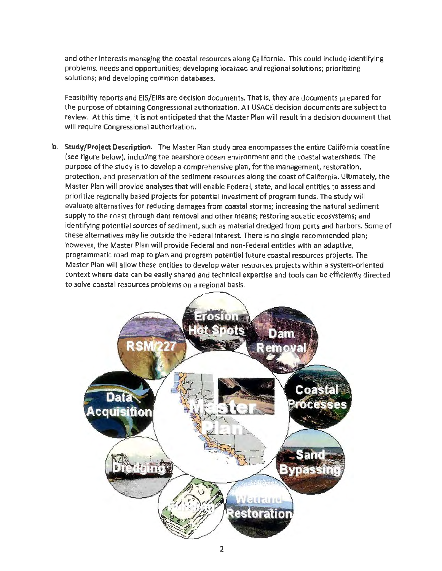and other interests managing the coastal resources along California. This could include identifying problems, needs and opportunities; developing localized and regional solutions; prioritizing solutions; and developing common databases.

Feasibility reports and EIS/EIRs are decision documents. That is, they are documents prepared for t he purpose of obtaining Congressional authorization. All USACE decision documents are subject to review. At this time, it is not anticipated that the Master Plan will result in a decision document that will require Congressional authorization.

**b. Study/Project Description.** The Master Plan study area encompasses the entire California coastline (see figure below), including the nearshore ocean environment and the coastal watersheds. The purpose of the study is to develop a comprehensive plan, for the management, restoration, protection, and preservation of the sediment resources along the coast of California. Ultimately, the Master Plan will provide analyses that will enable Federal, state, and local entities to assess and prioritize regionally based projects for potential investment of program funds. The study will evaluate alternatives for reducing damages from coastal storms; increasing the natural sediment supply to the coast through dam removal and other means; restoring aquatic ecosystems; and identifying potential sources of sediment, such as material dredged from ports and harbors. Some of these alternatives may lie outside the Federal interest. There is no single recommended plan; however, the Master Plan will provide Federal and non-Federal entities with an adaptive, programmatic road map to plan and program potential future coastal resources projects. The Master Plan will allow these entities to develop water resources projects within a system-oriented context where data can be easily shared and technical expertise and tools can be efficiently directed to solve coastal resources problems on a regional basis.

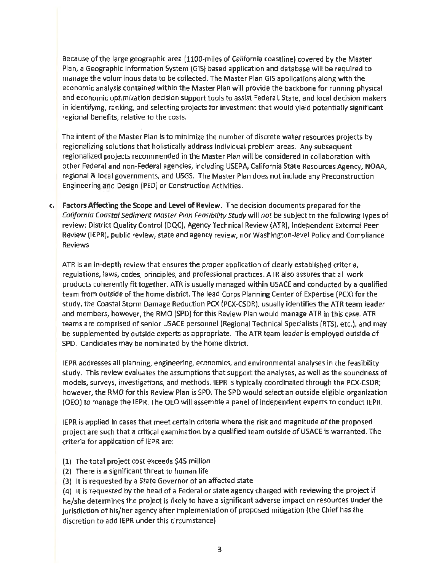Because of the large geographic area (1100-miles of California coastline) covered by the Master Plan, a Geographic Information System (GIS) based application and database will be required to manage the voluminous data to be collected. The Master Plan GIS applications along with the economic analysis contained within the Master Plan will provide the backbone for running physical and economic optimization decision support tools to assist Federal, *State,* and local decision makers in identifying, ranking, and selecting projects for investment that would yield potentially significant regional benefits, relative to the costs.

The intent of the Master Plan is to minimize the number of discrete water resources projects by regionalizing solutions that holistically address individual problem areas. Any subsequent regionalized projects recommended in the Master Plan will be considered in collaboration with other Federal and non-Federal agencies, including USEPA, California State Resources Agency, NOAA, regional & local governments, and USGS. The Master Plan does not include any Preconstruction Engineering and Design (PED) or Construction Activities.

**c. Factors Affecting the Scope and Level of Review.** The decision documents prepared for the California Coastal Sediment Master Plan Feasibility Study will not be subject to the following types of review: District Quality Control (DQC), Agency Technical Review (ATR), Independent External Peer Review (IEPR), public review, state and agency review, nor Washington-level Policy and Compliance Reviews.

ATR is an in-depth review that ensures the proper application of clearly established criteria, regulations, laws, codes, principles, and professional practices. ATR also assures that all work products coherently fit together. ATR is usually managed within USACE and conducted by a qualified team from outside of the home district. The lead Corps Planning Center of Expertise (PCX) for the study, the Coastal Storm Damage Reduction PCX (PCX-CSDR), usually identifies the ATR team leader and members, however, the RMO (SPD) for this Review Plan would manage ATR in this case. ATR teams are comprised of senior USACE personnel (Regional Technical Specialists (RTS), etc.), and may be supplemented by outside experts as appropriate. The ATR team leader is employed outside of SPD. Candidates may be nominated by the home district.

IEPR addresses all planning, engineering, economics, and environmental analyses in the feasibility study. This review evaluates the assumptions that support the analyses, as well as the soundness of models, surveys, investigations, and methods. IEPR is typically coordinated through the PCX-CSDR; however, the RMO for this Review Plan is SPD. The SPD would select an outside eligible organization (OEO) to manage the IEPR. The OEO will assemble a panel of independent experts to conduct IEPR.

IEPR is applied in cases that meet certain criteria where the risk and magnitude of the proposed project are such that a critical examination by a qualified team outside of USACE is warranted. The criteria for application of IEPR are:

- (1) The total project cost exceeds \$45 million
- (2) There is a significant threat to human life
- (3) It is requested by a State Governor of an affected state

(4) It is requested by the head of a Federal or state agency charged with reviewing the project if he/she determines the project is likely to have a significant adverse impact on resources under the jurisdiction of his/her agency after implementation of proposed mitigation (the Chief has the discretion to add IEPR under this circumstance)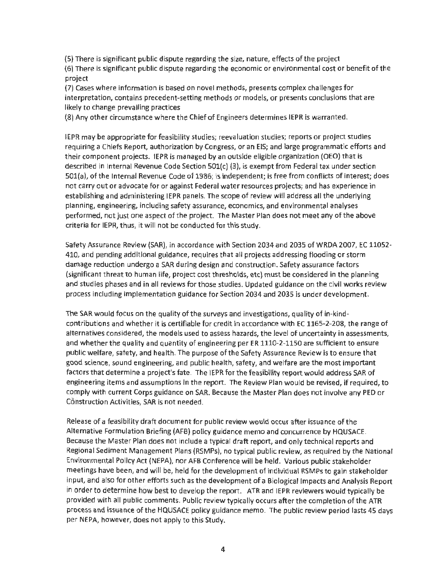(5) There is significant public dispute regarding the size, nature, effects ofthe project

(6) There is significant public dispute regarding the economic or environmental cost or benefit of the project

(7) Cases where information is based on novel methods, presents complex challenges for interpretation, contains precedent-setting methods or models, or presents conclusions that are likely to change prevailing practices

(B) Any other circumstance where the Chief of Engineers determines IEPR is warranted.

IEPR may be appropriate for feasibility studies; reevaluation studies; reports or project studies requiring a Chiefs Report, authorization by Congress, or an EIS; and large programmatic efforts and their component projects. IEPR is managed by an outside eligible organization (OEO) that is described in Internal Revenue Code Section 501(c) (3), is exempt from Federal tax under section 501(a), of the Internal Revenue Code of 1986; is independent; is free from conflicts of interest; does not carry out or advocate for or against Federal water resources projects; and has experience in establishing and administering IEPR panels. The scope of review will address all the underlying planning, engineering, including safety assurance, economics, and environmental analyses performed, not just one aspect of the project. The Master Plan does not meet any of the above criteria for IEPR, thus, it will not be conducted for this study.

Safety Assurance Review (SAR), in accordance with Section 2034 and 2035 of WRDA 2007, EC 11052-410, and pending additional guidance, requires that all projects addressing flooding or storm damage reduction undergo a SAR during design and construction. Safety assurance factors (significant threat to human life, project cost thresholds, etc) must be considered in the planning and studies phases and in all reviews for those studies. Updated guidance on the civil works review process including implementation guidance for Section 2034 and 2035 is under development.

The SAR would focus on the quality of the surveys and investigations, quality of in-kindcontributions and whether it is certifiable for credit in accordance with EC 1165-2-208, the range of alternatives considered, the models used to assess hazards, the level of uncertainty in assessments, and whether the quality and quantity of engineering per ER 1110-2-1150 are sufficient to ensure public welfare, safety, and health. The purpose of the Safety Assurance Review is to ensure that good science, sound engineering, and public health, safety, and welfare are the most important factors that determine a project's fate. The IEPR for the feasibility report would address SAR of engineering items and assumptions in the report. The Review Plan would be revised, if required, to comply with current Corps guidance on SAR. Because the Master Plan does not involve any PED or Construction Activities, SAR is not needed.

Release of a feasibility draft document for public review would occur after issuance of the Alternative Formulation Briefing (AFB) policy guidance memo and concurrence by HQUSACE. Because the Master Plan does not include a typical draft report, and only technical reports and Regional Sediment Management Plans (RSMPs), no typical public review, as required by the National Environmental Policy Act (NEPA), nor AFB Conference will be held. Various public stakeholder meetings have been, and will be, held for the development of individual RSMPs to gain stakeholder input, and also for other efforts such as the development of a Biological Impacts and Analysis Report in order to determine how best to develop the report. ATR and IEPR reviewers would typically be provided with all public comments. Public review typically occurs after the completion of the ATR process and issuance of the HQUSACE policy guidance memo. The public review period lasts 45 days per NEPA, however, does not apply to this Study.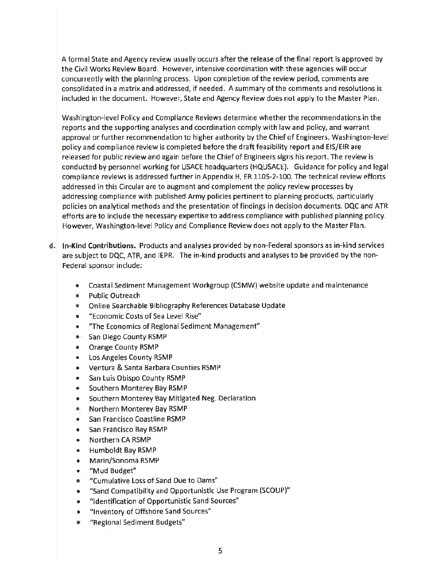A formal State and Agency review usually occurs after the release of the final report is approved by the Civil Works Review Board. However, intensive coordination with these agencies will occur concurrently with the planning process. Upon completion ofthe review period, comments are consolidated in a matrix and addressed, if needed. A summary of the comments and resolutions is included in the document. However, State and Agency Review does not apply to the Master Plan.

Washington-level Policy and Compliance Reviews determine whether the recommendations in the reports and the supporting analyses and coordination comply with law and policy, and warrant approval or further recommendation to higher authority by the Chief of Engineers. Washington-level policy and compliance review is completed before the draft feasibility report and EIS/EIR are released for public review and again before the Chief of Engineers signs his report. The review is conducted by personnel working for USACE headquarters (HQUSACE). Guidance for policy and legal compliance reviews is addressed further in Appendix H, ER 1105-2-100. The technical review efforts addressed in this Circular are to augment and complement the policy review processes by addressing compliance with published Army policies pertinent to planning products, particularly policies on analytical methods and the presentation of findings in decision documents. DQC and ATR efforts are to include the necessary expertise to address compliance with published planning policy. However, Washington-level Policy and Compliance Review does not apply to the Master Plan.

- **d. In-Kind Contributions.** Products and analyses provided by non-Federal sponsors as in-kind services are subject to DQC, ATR, and IEPR. The in-kind products and analyses to be provided by the non-Federal sponsor include:
	- Coastal Sediment Management Workgroup (CSMW) website update and maintenance
	- Public Outreach
	- Online Searchable Bibliography References Database Update
	- " Economic Costs of Sea Level Rise"
	- "The Economics of Regional Sediment Management"
	- San Diego County RSMP
	- Orange County RSMP
	- Los Angeles County RSMP
	- Ventura & Santa Barbara Counties RSMP
	- San Luis Obispo County RSMP
	- Southern Monterey Bay RSMP
	- Southern Monterey Bay Mitigated Neg. Declaration
	- Northern Monterey Bay RSMP
	- San Francisco Coastline RSMP
	- San Francisco Bay RSMP
	- Northern CA RSMP
	- Humboldt Bay RSMP
	- Marin/Sonoma RSMP
	- "Mud Budget"
	- "Cumulative Loss of Sand Due to Dams"
	- "Sand Compatibility and Opportunistic Use Program (SCOUP)"
	- "Identification of Opportunistic Sand Sources"
	- "Inventory of Offshore Sand Sources"
	- "Regional Sediment Budgets"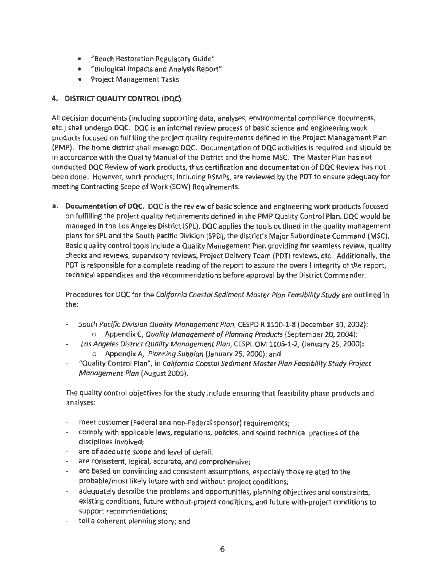- "Beach Restoration Regulatory Guide"
- "Biological Impacts and Analysis Report"
- Project Management Tasks

## **4. DISTRICT QUALITY CONTROL (DQC)**

All decision documents (including supporting data, analyses, environmental compliance documents, etc.) shall undergo DOC. DQC is an internal review process of basic science and engineering work products focused on fulfilling the project quality requirements defined in the Project Management Plan (PMP). The home district shall manage DOC. Documentation of DOC activities is required and should be in accordance with the Quality Manual of the District and the home MSC. The Master Plan has not conducted DOC Review of work products, thus certification and documentation of DOC Review has not been done. However, work products, including RSMPs, are reviewed by the PDT to ensure adequacy for meeting Contracting Scope of Work (SOW) Requirements.

**a. Documentation of DQC.** DOC is the review of basic science and engineering work products focused on fulfilling the project quality requirements defined in the PMP Quality Control Plan. DQC would be managed in the Los Angeles District (SPL). DOC applies the tools outlined in the quality management plans for SPL and the South Pacific Division (SPD), the district's Major Subordinate Command (MSC). Basic quality control tools include a Quality Management Plan providing for seamless review, quality checks and reviews, supervisory reviews, Project Delivery Team (PDT) reviews, etc. Additionally, the PDT is responsible for a complete reading of the report to assure the overall integrity of the report, technical appendices and the recommendations before approval by the District Commander.

Procedures for DOC for the California Coastal Sediment Master Plan Feasibility Study are outlined in the:

- South Pacific Division Quality Management Plan, CESPD R 1110-1-8 (December 30, 2002):  $\overline{\phantom{a}}$ o Appendix C, Quality Management of Planning Products (September 20, 2004);
- Los Angeles District Quality Management Plan, CESPL OM 1105-1-2, (January 25, 2000): ÷ o Appendix A, Planning Subplan (January 25, 2000); and
- "Quality Control Plan", in California Coastal Sediment Master Plan Feasibility Study Project Management Plan (August 2005).

The quality control objectives for the study include ensuring that feasibility phase products and analyses:

- meet customer (Federal and non-Federal sponsor) requirements;
- comply with applicable laws, regulations, policies, and sound technical practices of the disciplines involved;
- are of adequate scope and level of detail;
- are consistent, logical, accurate, and comprehensive;  $\overline{\phantom{a}}$
- are based on convincing and consistent assumptions, especially those related to the probable/most likely future with and without-project conditions;
- adequately describe the problems and opportunities, planning objectives and constraints, existing conditions, future without-project conditions, and future with-project conditions to support recommendations;
- tell a coherent planning story; and  $\overline{\phantom{a}}$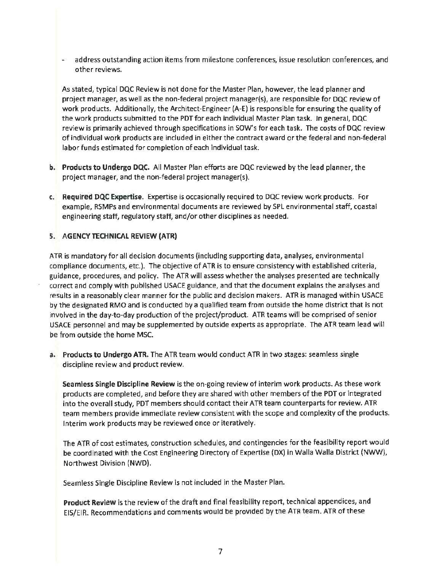address outstanding action items from milestone conferences, issue resolution conferences, and other reviews.

As stated, typical DQC Review is not done for the Master Plan, however, the lead planner and project manager, as well as the non-federal project manager(s), are responsible for DQC review of work products. Additionally, the Architect-Engineer (A-E) is responsible for ensuring the quality of the work products submitted to the PDT for each individual Master Plan task. In general, DQC review is primarily achieved through specifications in SOW's for each task. The costs of DQC review of individual work products are included in either the contract award or the federal and non-federal labor funds estimated for completion of each individual task.

- b. Products to Undergo DQC. All Master Plan efforts are DQC reviewed by the lead planner, the project manager, and the non-federal project manager(s).
- c. Required DQC Expertise. Expertise is occasionally required to DQC review work products. For example, RSMPs and environmental documents are reviewed by SPL environmental staff, coastal engineering staff, regulatory staff, and/or other disciplines as needed.

#### 5. AGENCY TECHNICAL REVIEW (ATR)

ATR is mandatory for all decision documents (including supporting data, analyses, environmental compliance documents, etc.). The objective of ATR is to ensure consistency with established criteria, guidance, procedures, and policy. The ATR will assess whether the analyses presented are technically correct and comply with published USACE guidance, and that the document explains the analyses and results in a reasonably clear manner for the public and decision makers. ATR is managed within USACE by the designated RMO and is conducted by a qualified team from outside the home district that is not involved in the day-to-day production of the project/product. ATR teams will be comprised of senior USACE personnel and may be supplemented by outside experts as appropriate. The ATR team lead will be from outside the home MSC.

a. Products to Undergo ATR. The ATR team would conduct ATR in two stages: seamless single discipline review and product review.

Seamless Single Discipline Review is the on-going review of interim work products. As these work products are completed, and before they are shared with other members of the PDT or integrated into the overall study, PDT members should contact their ATR team counterparts for review. ATR team members provide immediate review consistent with the scope and complexity of the products. Interim work products may be reviewed once or iteratively.

The ATR of cost estimates, construction schedules, and contingencies for the feasibility report would be coordinated with the Cost Engineering Directory of Expertise (DX) in Walla Walla District (NWW), Northwest Division (NWD).

Seamless Single Discipline Review is not included in the Master Plan.

Product Review is the review of the draft and final feasibility report, technical appendices, and EIS/EIR. Recommendations and comments would be provided by the ATR team. ATR of these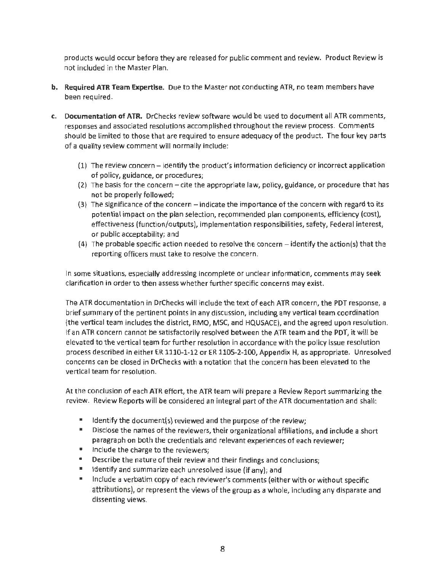products would occur before they are released for public comment and review. Product Review is not included in the Master Plan.

- **b. Required ATR Team Expertise.** Due to the Master not conducting ATR, no team members have been required.
- **c. Documentation of ATR.** DrChecks review software would be used to document all ATR comments, responses and associated resolutions accomplished throughout the review process. Comments should be limited to those that are required to ensure adequacy of the product. The four key parts of a quality review comment will normally include:
	- (1) The review concern- identify the product's information deficiency or incorrect application of policy, guidance, or procedures;
	- $(2)$  The basis for the concern cite the appropriate law, policy, guidance, or procedure that has not be properly followed;
	- (3) The significance of the concern- indicate the importance of the concern with regard to its potential impact on the plan selection, recommended plan components, efficiency (cost), effectiveness (function/outputs), implementation responsibilities, safety, Federal interest, or public acceptability; and
	- (4) The probable specific action needed to resolve the concern- identify the action(s) that the reporting officers must take to resolve the concern.

In some situations, especially addressing incomplete or unclear information, comments may seek clarification in order to then assess whether further specific concerns may exist.

The ATR documentation in DrChecks will include the text of each ATR concern, the PDT response, a brief summary of the pertinent points in any discussion, including any vertical team coordination (the vertical team includes the district, RMO, MSC, and HQUSACE), and the agreed upon resolution. If an ATR concern cannot be satisfactorily resolved between the ATR team and the PDT, it will be elevated to the vertical team for further resolution in accordance with the policy issue resolution process described in either ER 1110-1-12 or ER 1105-2-100, Appendix H, as appropriate. Unresolved concerns can be closed in DrChecks with a notation that the concern has been elevated to the vertical team for resolution.

At the conclusion of each ATR effort, the ATR team will prepare a Review Report summarizing the review. Review Reports will be considered an integral part of the ATR documentation and shall:

- Identify the document(s) reviewed and the purpose of the review;
- Disclose the names of the reviewers, their organizational affiliations, and include a short paragraph on both the credentials and relevant experiences of each reviewer;
- Include the charge to the reviewers;
- Describe the nature of their review and their findings and conclusions;
- Identify and summarize each unresolved issue (if any); and
- Include a verbatim copy of each reviewer's comments (either with or without specific attributions), or represent the views of the group as a whole, including any disparate and dissenting views.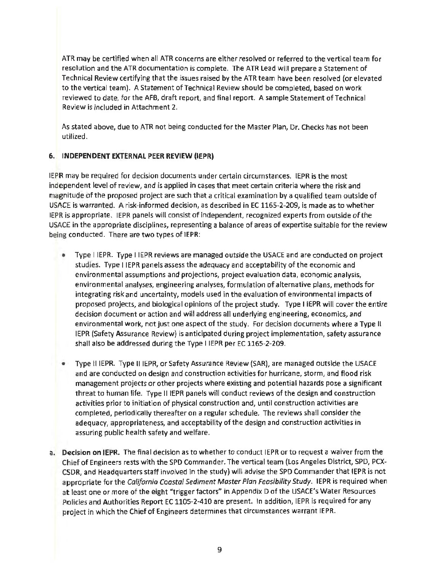ATR may be certified when all ATR concerns are either resolved or referred to the vertical team for resolution and the ATR documentation is complete. The ATR lead will prepare a Statement of Technical Review certifying that the issues raised by the ATR team have been resolved (or elevated to the vertical team). A Statement of Technical Review should be completed, based on work reviewed to date, for the AFB, draft report, and final report. A sample Statement of Technical Review is included in Attachment 2.

As stated above, due to ATR not being conducted for the Master Plan, Dr. Checks has not been utilized.

## 6. INDEPENDENT EXTERNAL PEER REVIEW (IEPR)

IEPR may be required for decision documents under certain circumstances. IEPR is the most independent level of review, and is applied in cases that meet certain criteria where the risk and magnitude of the proposed project are such that a critical examination by a qualified team outside of USACE is warranted. A risk-informed decision, as described in EC 1165-2-209, is made as to whether IEPR is appropriate. IEPR panels will consist of independent, recognized experts from outside of the USACE in the appropriate disciplines, representing a balance of areas of expertise suitable for the review being conducted. There are two types of IEPR:

- Type IIEPR. Type IIEPR reviews are managed outside the USACE and are conducted on project studies. Type IIEPR panels assess the adequacy and acceptability of the economic and environmental assumptions and projections, project evaluation data, economic analysis, environmental analyses, engineering analyses, formulation of alternative plans, methods for integrating risk and uncertainty, models used in the evaluation of environmental impacts of proposed projects, and biological opinions of the project study. Type IIEPR will cover the entire decision document or action and will address all underlying engineering, economics, and environmental work, not just one aspect of the study. For decision documents where a Type II IEPR (Safety Assurance Review} is anticipated during project implementation, safety assurance shall also be addressed during the Type IIEPR per EC 1165-2-209.
- Type IIIEPR. Type IIIEPR, or Safety Assurance Review (SAR}, are managed outside the USACE and are conducted on design and construction activities for hurricane, storm, and flood risk management projects or other projects where existing and potential hazards pose a significant threat to human life. Type II IEPR panels will conduct reviews of the design and construction activities prior to initiation of physical construction and, until construction activities are completed, periodically thereafter on a regular schedule. The reviews shall consider the adequacy, appropriateness, and acceptability of the design and construction activities in assuring public health safety and welfare.
- a. Decision on IEPR. The final decision as to whether to conduct IEPR or to request a waiver from the Chief of Engineers rests with the SPD Commander. The vertical team (Los Angeles District, SPD, PCX-CSDR, and Headquarters staff involved in the study} will advise the SPD Commander that IEPR is not appropriate for the California Coastal Sediment Master Plan Feasibility Study. IEPR is required when at least one or more of the eight "trigger factors" in Appendix D of the USACE's Water Resources Policies and Authorities Report EC 1105-2-410 are present. In addition, IEPR is required for any project in which the Chief of Engineers determines that circumstances warrant IEPR.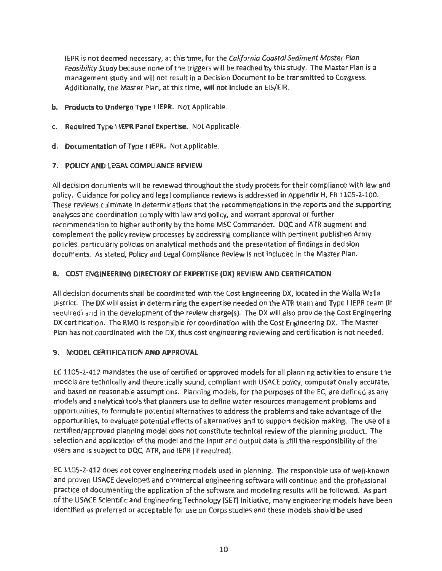IEPR is not deemed necessary, at this time, for the California Coastal Sediment Master Plan Feasibility Study because none of the triggers will be reached by this study. The Master Plan is a management study and will not result in a Decision Document to be transmitted to Congress. Additionally, the Master Plan, at this time, will not include an EIS/EIR.

- **b. Products to Undergo Type IIEPR.** Not Applicable.
- **c. Required Type IIEPR Panel Expertise.** Not Applicable.
- **d. Documentation of Type IIEPR.** Not Applicable.

#### **7. POLICY AND LEGAL COMPLIANCE REVIEW**

All decision documents will be reviewed throughout the study process for their compliance with law and policy. Guidance for policy and legal compliance reviews is addressed in Appendix H, ER 1105-2-100. These reviews culminate in determinations that the recommendations in the reports and the supporting analyses and coordination comply with law and policy, and warrant approval or further recommendation to higher authority by the home MSC Commander. DQC and ATR augment and complement the policy review processes by addressing compliance with pertinent published Army policies, particularly policies on analytical methods and the presentation of findings in decision documents. As stated, Policy and Legal Compliance Review is not included in the Master Plan.

#### **8. COST ENGINEERING DIRECTORY OF EXPERTISE (OX) REVIEW AND CERTIFICATION**

All decision documents shall be coordinated with the Cost Engineering OX, located in the Walla Walla District. The DX will assist in determining the expertise needed on the ATR team and Type I IEPR team (if required) and in the development of the review charge(s). The OX will also provide the Cost Engineering OX certification. The RMO is responsible for coordination with the Cost Engineering OX. The Master Plan has not coordinated with the OX, thus cost engineering reviewing and certification is not needed.

#### **9. MODEL CERTIFICATION AND APPROVAL**

EC 1105-2-412 mandates the use of certified or approved models for all planning activities to ensure the models are technically and theoretically sound, compliant with USACE policy, computationally accurate, and based on reasonable assumptions. Planning models, for the purposes of the EC, are defined as any models and analytical tools that planners use to define water resources management problems and opportunities, to formulate potential alternatives to address the problems and take advantage of the opportunities, to evaluate potential effects of alternatives and to support decision making. The use of a certified/approved planning model does not constitute technical review of the planning product. The selection and application of the model and the input and output data is still the responsibility of the users and is subject to OQC, ATR, and IEPR (if required).

EC 1105-2-412 does not cover engineering models used in planning. The responsible use of well-known and proven USACE developed and commercial engineering software will continue and the professional practice of documenting the application of the software and modeling results will be followed. As part of the USACE Scientific and Engineering Technology (SET) Initiative, many engineering models have been identified as preferred or acceptable for use on Corps studies and these models should be used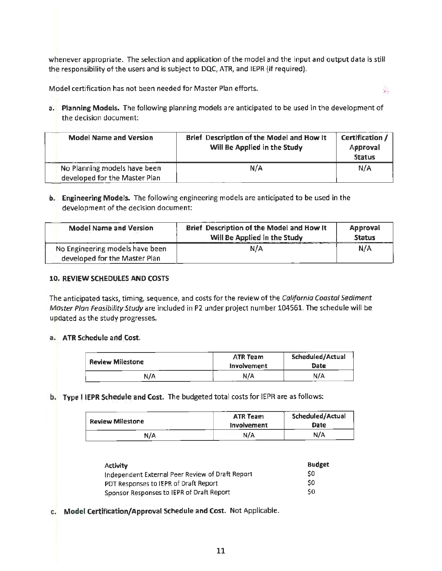whenever appropriate. The selection and application of the model and the input and output data is still the responsibility of the users and is subject to DQC, ATR, and IEPR (if required).

Model certification has not been needed for Master Plan efforts.

a. Planning Models. The following planning models are anticipated to be used in the development of the decision document:

 $\mathbf{a}$ 

| <b>Model Name and Version</b> | Brief Description of the Model and How It<br>Will Be Applied in the Study | Certification /<br>Approval<br><b>Status</b> |
|-------------------------------|---------------------------------------------------------------------------|----------------------------------------------|
| No Planning models have been  | N/A                                                                       | N/A                                          |
| developed for the Master Plan |                                                                           |                                              |

b. Engineering Models. The following engineering models are anticipated to be used in the development of the decision document:

| <b>Model Name and Version</b>                                    | Brief Description of the Model and How It<br>Will Be Applied in the Study | <b>Approval</b><br><b>Status</b> |  |
|------------------------------------------------------------------|---------------------------------------------------------------------------|----------------------------------|--|
| No Engineering models have been<br>developed for the Master Plan | N/A                                                                       | N/A                              |  |

#### 10. REVIEW SCHEDULES AND COSTS

The anticipated tasks, timing, sequence, and costs for the review of the California Coastal Sediment Master Plan Feasibility Study are included in P2 under project number 104561. The schedule will be updated as the study progresses.

#### a. ATR Schedule and Cost.

| <b>Review Milestone</b> | <b>ATR Team</b><br>Involvement | <b>Scheduled/Actual</b><br>Date |
|-------------------------|--------------------------------|---------------------------------|
| N/A                     | N/A                            | N/A                             |

b. Type I IEPR Schedule and Cost. The budgeted total costs for IEPR are as follows:

| <b>Review Milestone</b> | <b>ATR Team</b><br>Involvement | Scheduled/Actual<br>Date |
|-------------------------|--------------------------------|--------------------------|
| N/A                     | N/A                            | N/A                      |

| <b>Activity</b>                                  | <b>Budget</b> |
|--------------------------------------------------|---------------|
| Independent External Peer Review of Draft Report | \$0           |
| PDT Responses to IEPR of Draft Report            | \$0           |
| Sponsor Responses to IEPR of Draft Report        | \$0           |

c. Model Certification/ Approval Schedule and Cost. Not Applicable.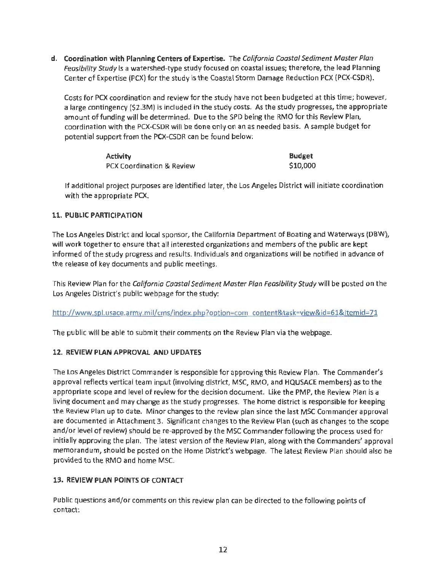**d. Coordination with Planning Centers of Expertise.** The California Coastal Sediment Master Plan Feasibility Study is a watershed-type study focused on coastal issues; therefore, the lead Planning Center of Expertise (PCX) for the study is the Coastal Storm Damage Reduction PCX (PCX-CSDR).

Costs for PCX coordination and review for the study have not been budgeted at this time; however, a large contingency (\$2.3M) is included in the study costs. As the study progresses, the appropriate amount of funding will be determined. Due to the SPD being the RMO for this Review Plan, coordination with the PCX-CSDR will be done only on an as needed basis. A sample budget for potential support from the PCX-CSDR can be found below:

| <b>Activity</b>           | <b>Budget</b> |
|---------------------------|---------------|
| PCX Coordination & Review | \$10,000      |

If additional project purposes are identified later, the Los Angeles District will initiate coordination with the appropriate PCX.

#### **11. PUBLIC PARTICIPATION**

The Los Angeles District and local sponsor, the California Department of Boating and Waterways (DBW), will work together to ensure that all interested organizations and members of the public are kept informed of the study progress and results. Individuals and organizations will be notified in advance of the release of key documents and public meetings.

This Review Plan for the California Coastal Sediment Master Plan Feasibility Study will be posted on the Los Angeles District's public webpage for the study:

http://www.spl.usace.army.mil/cms/index.php?option=com content&task=view&id=61&Itemid=71

The public will be able to submit their comments on the Review Plan via the webpage.

#### **12. REVIEW PLAN APPROVAL AND UPDATES**

The Los Angeles District Commander is responsible for approving this Review Plan. The Commander's approval reflects vertical team input (involving district, MSC, RMO, and HQUSACE members) as to the appropriate scope and level of review for the decision document. Like the PMP, the Review Plan is a living document and may change as the study progresses. The home district is responsible for keeping the Review Plan up to date. Minor changes to the review plan since the last MSC Commander approval are documented in Attachment 3. Significant changes to the Review Plan (such as changes to the scope and/or level of review) should be re-approved by the MSC Commander following the process used for initially approving the plan. The latest version of the Review Plan, along with the Commanders' approval memorandum, should be posted on the Home District's webpage. The latest Review Plan should also be provided to the RMO and home MSC.

#### **13. REVIEW PLAN POINTS OF CONTACT**

Public questions and/or comments on this review plan can be directed to the following points of contact: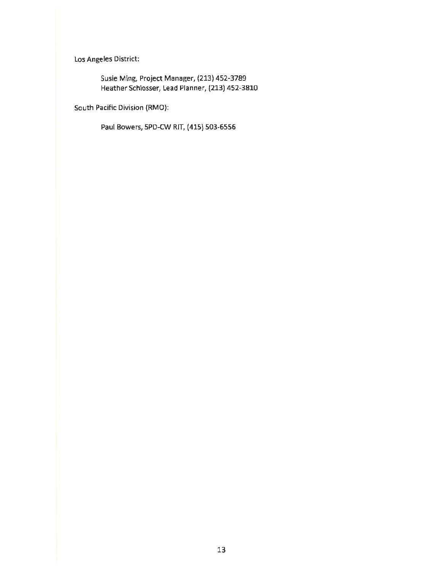Los Angeles District:

Susie Ming, Project Manager, (213) 452-3789 Heather Schlosser, Lead Planner, (213) 452-3810

South Pacific Division (RMO):

Paul Bowers, SPD-CW RIT, (415) 503-6556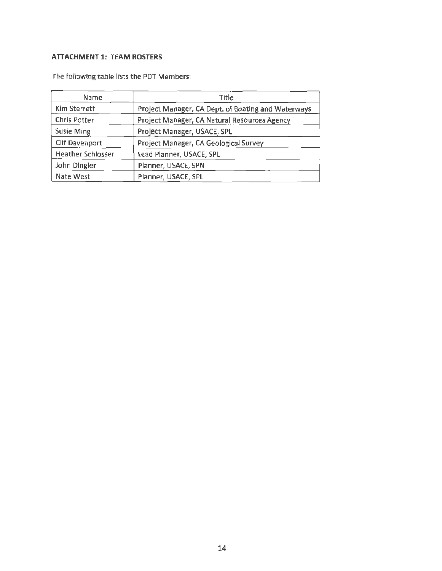## **ATTACHMENT 1: TEAM ROSTERS**

| Name                     | Title                                              |
|--------------------------|----------------------------------------------------|
| Kim Sterrett             | Project Manager, CA Dept. of Boating and Waterways |
| Chris Potter             | Project Manager, CA Natural Resources Agency       |
| <b>Susie Ming</b>        | Project Manager, USACE, SPL                        |
| Clif Davenport           | Project Manager, CA Geological Survey              |
| <b>Heather Schlosser</b> | Lead Planner, USACE, SPL                           |
| John Dingler             | Planner, USACE, SPN                                |
| Nate West                | Planner, USACE, SPL                                |

The following table lists the PDT Members: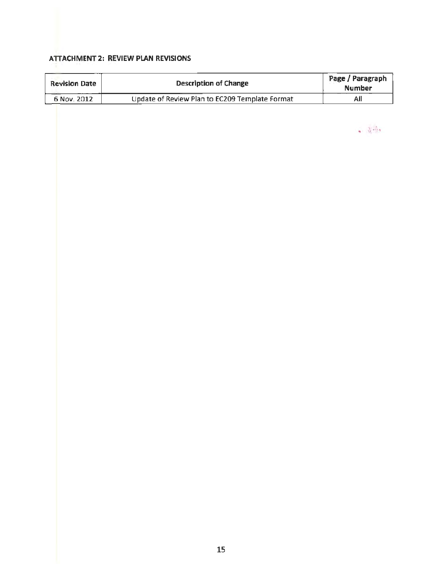## ATTACHMENT 2: REVIEW PLAN REVISIONS

F

| <b>Description of Change</b><br><b>Revision Date</b> |                                                | Page / Paragraph<br><b>Number</b> |
|------------------------------------------------------|------------------------------------------------|-----------------------------------|
| 6 Nov. 2012                                          | Update of Review Plan to EC209 Template Format | $\mathsf{All}$                    |
|                                                      |                                                |                                   |
|                                                      |                                                |                                   |
|                                                      |                                                | $-3 - 3 - 3$                      |
|                                                      |                                                |                                   |
|                                                      |                                                |                                   |
|                                                      |                                                |                                   |
|                                                      |                                                |                                   |
|                                                      |                                                |                                   |
|                                                      |                                                |                                   |
|                                                      |                                                |                                   |
|                                                      |                                                |                                   |
|                                                      |                                                |                                   |
|                                                      |                                                |                                   |
|                                                      |                                                |                                   |
|                                                      |                                                |                                   |
|                                                      |                                                |                                   |
|                                                      |                                                |                                   |
|                                                      |                                                |                                   |
|                                                      |                                                |                                   |
|                                                      |                                                |                                   |
|                                                      |                                                |                                   |
|                                                      |                                                |                                   |
|                                                      |                                                |                                   |
|                                                      |                                                |                                   |
|                                                      |                                                |                                   |
|                                                      |                                                |                                   |
|                                                      |                                                |                                   |
|                                                      |                                                |                                   |
|                                                      |                                                |                                   |
|                                                      |                                                |                                   |
|                                                      |                                                |                                   |
|                                                      |                                                |                                   |
|                                                      |                                                |                                   |
|                                                      |                                                |                                   |
|                                                      |                                                |                                   |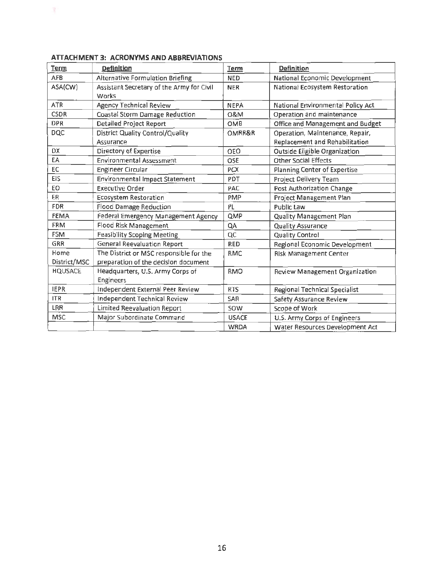| <b>Term</b>    | <b>Definition</b>                         | <b>Term</b>  | <b>Definition</b>                    |
|----------------|-------------------------------------------|--------------|--------------------------------------|
| <b>AFB</b>     | Alternative Formulation Briefing          | <b>NED</b>   | National Economic Development        |
| ASA(CW)        | Assistant Secretary of the Army for Civil | <b>NER</b>   | National Ecosystem Restoration       |
|                | Works                                     |              |                                      |
| <b>ATR</b>     | <b>Agency Technical Review</b>            | <b>NEPA</b>  | National Environmental Policy Act    |
| <b>CSDR</b>    | Coastal Storm Damage Reduction            | 0&M          | Operation and maintenance            |
| <b>DPR</b>     | Detailed Project Report                   | OMB          | Office and Management and Budget     |
| <b>DQC</b>     | District Quality Control/Quality          | OMRR&R       | Operation, Maintenance, Repair,      |
|                | Assurance                                 |              | Replacement and Rehabilitation       |
| DX             | Directory of Expertise                    | OEO          | <b>Outside Eligible Organization</b> |
| EA             | <b>Environmental Assessment</b>           | OSE          | <b>Other Social Effects</b>          |
| EC             | <b>Engineer Circular</b>                  | <b>PCX</b>   | Planning Center of Expertise         |
| EIS            | <b>Environmental Impact Statement</b>     | PDT          | Project Delivery Team                |
| EO             | <b>Executive Order</b>                    | PAC          | Post Authorization Change            |
| ER.            | <b>Ecosystem Restoration</b>              | PMP          | Project Management Plan              |
| <b>FDR</b>     | <b>Flood Damage Reduction</b>             | PL           | <b>Public Law</b>                    |
| <b>FEMA</b>    | Federal Emergency Management Agency       | QMP          | Quality Management Plan              |
| <b>FRM</b>     | Flood Risk Management                     | QA           | Quality Assurance                    |
| <b>FSM</b>     | <b>Feasibility Scoping Meeting</b>        | QC           | Quality Control                      |
| GRR            | <b>General Reevaluation Report</b>        | <b>RED</b>   | Regional Economic Development        |
| Home           | The District or MSC responsible for the   | <b>RMC</b>   | <b>Risk Management Center</b>        |
| District/MSC   | preparation of the decision document      |              |                                      |
| <b>HQUSACE</b> | Headquarters, U.S. Army Corps of          | <b>RMO</b>   | Review Management Organization       |
|                | Engineers                                 |              |                                      |
| <b>IEPR</b>    | Independent External Peer Review          | <b>RTS</b>   | Regional Technical Specialist        |
| <b>ITR</b>     | Independent Technical Review              | <b>SAR</b>   | Safety Assurance Review              |
| LRR            | Limited Reevaluation Report               | SOW          | Scope of Work                        |
| <b>MSC</b>     | Major Subordinate Command                 | <b>USACE</b> | U.S. Army Corps of Engineers         |
|                |                                           | WRDA         | Water Resources Development Act      |

### ATTACHMENT 3: ACRONYMS AND ABBREVIATIONS